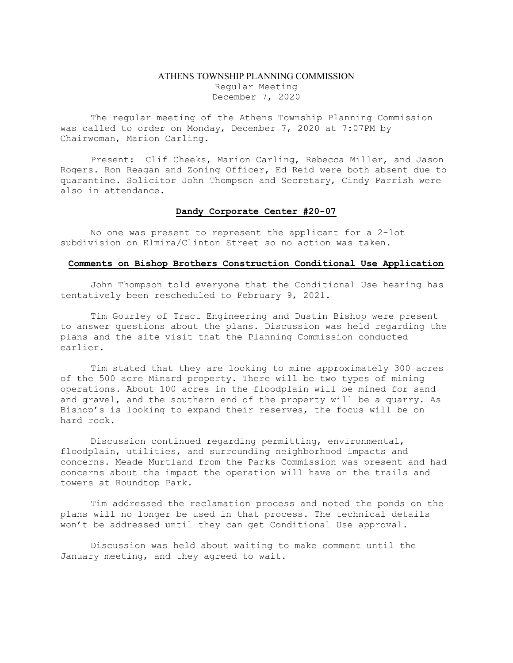## ATHENS TOWNSHIP PLANNING COMMISSION Regular Meeting December 7, 2020

The regular meeting of the Athens Township Planning Commission was called to order on Monday, December 7, 2020 at 7:07PM by Chairwoman, Marion Carling.

Present: Clif Cheeks, Marion Carling, Rebecca Miller, and Jason Rogers. Ron Reagan and Zoning Officer, Ed Reid were both absent due to quarantine. Solicitor John Thompson and Secretary, Cindy Parrish were also in attendance.

## Dandy Corporate Center #20-07

No one was present to represent the applicant for a 2-lot subdivision on Elmira/Clinton Street so no action was taken.

## Comments on Bishop Brothers Construction Conditional Use Application

 John Thompson told everyone that the Conditional Use hearing has tentatively been rescheduled to February 9, 2021.

 Tim Gourley of Tract Engineering and Dustin Bishop were present to answer questions about the plans. Discussion was held regarding the plans and the site visit that the Planning Commission conducted earlier.

 Tim stated that they are looking to mine approximately 300 acres of the 500 acre Minard property. There will be two types of mining operations. About 100 acres in the floodplain will be mined for sand and gravel, and the southern end of the property will be a quarry. As Bishop's is looking to expand their reserves, the focus will be on hard rock.

 Discussion continued regarding permitting, environmental, floodplain, utilities, and surrounding neighborhood impacts and concerns. Meade Murtland from the Parks Commission was present and had concerns about the impact the operation will have on the trails and towers at Roundtop Park.

 Tim addressed the reclamation process and noted the ponds on the plans will no longer be used in that process. The technical details won't be addressed until they can get Conditional Use approval.

Discussion was held about waiting to make comment until the January meeting, and they agreed to wait.